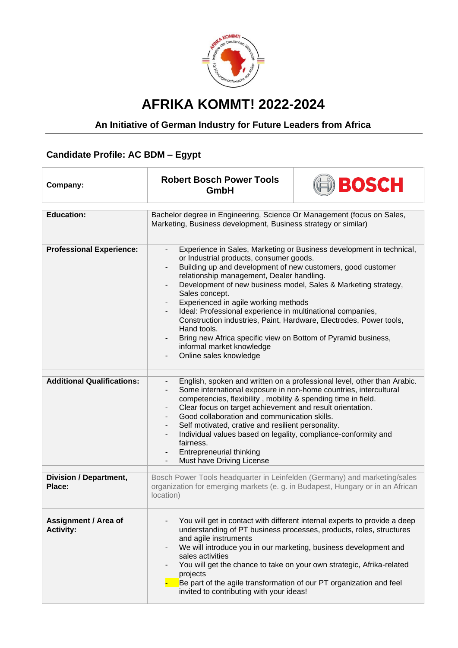

## **AFRIKA KOMMT! 2022-2024**

## **An Initiative of German Industry for Future Leaders from Africa**

## **Candidate Profile: AC BDM – Egypt**

| Company:                                        | <b>Robert Bosch Power Tools</b><br>GmbH                                                                                                                                                                                                                                                                                                                                                                                                                                                                                                                                                                                                              | BOSCH |
|-------------------------------------------------|------------------------------------------------------------------------------------------------------------------------------------------------------------------------------------------------------------------------------------------------------------------------------------------------------------------------------------------------------------------------------------------------------------------------------------------------------------------------------------------------------------------------------------------------------------------------------------------------------------------------------------------------------|-------|
|                                                 |                                                                                                                                                                                                                                                                                                                                                                                                                                                                                                                                                                                                                                                      |       |
| <b>Education:</b>                               | Bachelor degree in Engineering, Science Or Management (focus on Sales,<br>Marketing, Business development, Business strategy or similar)                                                                                                                                                                                                                                                                                                                                                                                                                                                                                                             |       |
|                                                 |                                                                                                                                                                                                                                                                                                                                                                                                                                                                                                                                                                                                                                                      |       |
| <b>Professional Experience:</b>                 | Experience in Sales, Marketing or Business development in technical,<br>$\blacksquare$<br>or Industrial products, consumer goods.<br>Building up and development of new customers, good customer<br>relationship management, Dealer handling.<br>Development of new business model, Sales & Marketing strategy,<br>Sales concept.<br>Experienced in agile working methods<br>Ideal: Professional experience in multinational companies,<br>Construction industries, Paint, Hardware, Electrodes, Power tools,<br>Hand tools.<br>Bring new Africa specific view on Bottom of Pyramid business,<br>informal market knowledge<br>Online sales knowledge |       |
| <b>Additional Qualifications:</b>               | English, spoken and written on a professional level, other than Arabic.<br>Some international exposure in non-home countries, intercultural<br>competencies, flexibility, mobility & spending time in field.<br>Clear focus on target achievement and result orientation.<br>Good collaboration and communication skills.<br>Self motivated, crative and resilient personality.<br>Individual values based on legality, compliance-conformity and<br>fairness.<br>Entrepreneurial thinking<br>Must have Driving License                                                                                                                              |       |
| <b>Division / Department,</b><br>Place:         | Bosch Power Tools headquarter in Leinfelden (Germany) and marketing/sales<br>organization for emerging markets (e. g. in Budapest, Hungary or in an African<br>location)                                                                                                                                                                                                                                                                                                                                                                                                                                                                             |       |
|                                                 |                                                                                                                                                                                                                                                                                                                                                                                                                                                                                                                                                                                                                                                      |       |
| <b>Assignment / Area of</b><br><b>Activity:</b> | You will get in contact with different internal experts to provide a deep<br>understanding of PT business processes, products, roles, structures<br>and agile instruments<br>We will introduce you in our marketing, business development and<br>sales activities<br>You will get the chance to take on your own strategic, Afrika-related<br>projects<br>Be part of the agile transformation of our PT organization and feel<br>invited to contributing with your ideas!                                                                                                                                                                            |       |